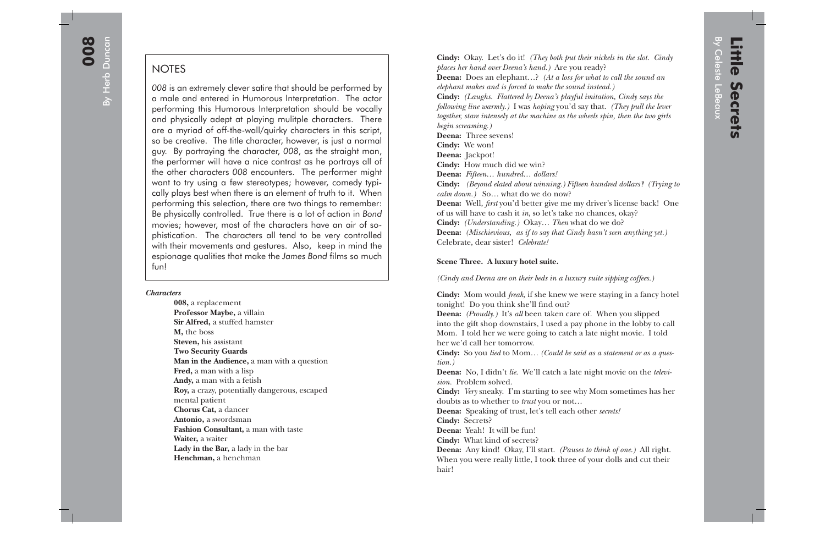By Herb Duncan By Herb Duncan

## **NOTES**

*008* is an extremely clever satire that should be performed by a male and entered in Humorous Interpretation. The actor performing this Humorous Interpretation should be vocally and physically adept at playing mulitple characters. There are a myriad of off-the-wall/quirky characters in this script, so be creative. The title character, however, is just a normal guy. By portraying the character, *008*, as the straight man, the performer will have a nice contrast as he portrays all of the other characters *008* encounters. The performer might want to try using a few stereotypes; however, comedy typically plays best when there is an element of truth to it. When performing this selection, there are two things to remember: Be physically controlled. True there is a lot of action in *Bond* movies; however, most of the characters have an air of so<sup>p</sup>histication. The characters all tend to be very controlled with their movements and gestures. Also, keep in mind the espionage qualities that make the *James Bond* films so much fun!

## *Characters*

 **008,** a replacement  **Professor Maybe,** a villain  **Sir Alfred,** a stuffed hamster  **M,** the boss  **Steven,** his assistant  **Two Security Guards Man in the Audience,** a man with a question  **Fred,** a man with a lisp  **Andy,** a man with a fetish  **Roy,** a crazy, potentially dangerous, escaped mental patient  **Chorus Cat,** a dancer  **Antonio,** a swordsman  **Fashion Consultant,** a man with taste  **Waiter,** a waiter  **Lady in the Bar,** a lady in the bar  **Henchman,** a henchman